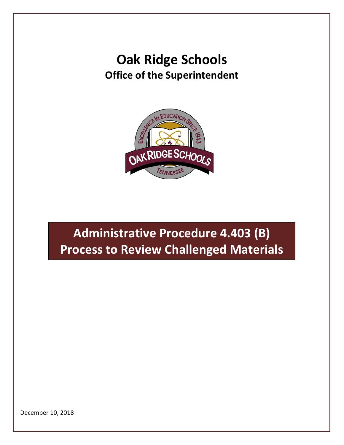## **Oak Ridge Schools Office of the Superintendent**



## **Administrative Procedure 4.403 (B) Process to Review Challenged Materials**

December 10, 2018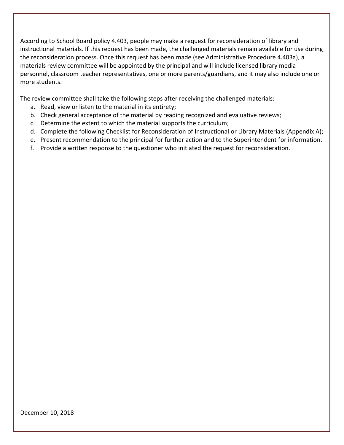According to School Board policy 4.403, people may make a request for reconsideration of library and instructional materials. If this request has been made, the challenged materials remain available for use during the reconsideration process. Once this request has been made (see Administrative Procedure 4.403a), a materials review committee will be appointed by the principal and will include licensed library media personnel, classroom teacher representatives, one or more parents/guardians, and it may also include one or more students.

The review committee shall take the following steps after receiving the challenged materials:

- a. Read, view or listen to the material in its entirety;
- b. Check general acceptance of the material by reading recognized and evaluative reviews;
- c. Determine the extent to which the material supports the curriculum;
- d. Complete the following Checklist for Reconsideration of Instructional or Library Materials (Appendix A);
- e. Present recommendation to the principal for further action and to the Superintendent for information.
- f. Provide a written response to the questioner who initiated the request for reconsideration.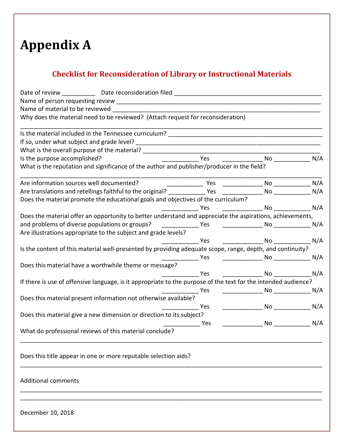## **Appendix A**

## **Checklist for Reconsideration of Library or Instructional Materials**

| Why does the material need to be reviewed? (Attach request for reconsideration)                                |                                                                                                                                                                                                                                      |                                            |            |
|----------------------------------------------------------------------------------------------------------------|--------------------------------------------------------------------------------------------------------------------------------------------------------------------------------------------------------------------------------------|--------------------------------------------|------------|
|                                                                                                                |                                                                                                                                                                                                                                      |                                            |            |
|                                                                                                                |                                                                                                                                                                                                                                      |                                            |            |
|                                                                                                                |                                                                                                                                                                                                                                      |                                            |            |
| Is the purpose accomplished?                                                                                   | Yes                                                                                                                                                                                                                                  |                                            |            |
| What is the reputation and significance of the author and publisher/producer in the field?                     |                                                                                                                                                                                                                                      |                                            |            |
| Are information sources well documented?                                                                       | <u>__________________</u> Yes                                                                                                                                                                                                        | __________________ No ________________ N/A |            |
| Are translations and retellings faithful to the original? ______________ Yes                                   |                                                                                                                                                                                                                                      |                                            | N/A        |
| Does the material promote the educational goals and objectives of the curriculum?                              |                                                                                                                                                                                                                                      |                                            |            |
|                                                                                                                | Yes                                                                                                                                                                                                                                  |                                            |            |
| Does the material offer an opportunity to better understand and appreciate the aspirations, achievements,      |                                                                                                                                                                                                                                      |                                            |            |
|                                                                                                                |                                                                                                                                                                                                                                      |                                            |            |
| Are illustrations appropriate to the subject and grade levels?                                                 |                                                                                                                                                                                                                                      |                                            |            |
|                                                                                                                | Yes                                                                                                                                                                                                                                  |                                            |            |
| Is the content of this material well-presented by providing adequate scope, range, depth, and continuity?      |                                                                                                                                                                                                                                      |                                            |            |
|                                                                                                                | <u>na sa Barang Pasang Pasa</u>                                                                                                                                                                                                      |                                            |            |
| Does this material have a worthwhile theme or message?                                                         |                                                                                                                                                                                                                                      |                                            |            |
|                                                                                                                | <b>Property</b>                                                                                                                                                                                                                      | No N/A                                     |            |
| If there is use of offensive language, is it appropriate to the purpose of the text for the intended audience? |                                                                                                                                                                                                                                      |                                            |            |
|                                                                                                                | <u>na mga sangang mga sangang mga sangang mga sangang mga sangang mga sangang mga sangang mga sangang mga sangang mga sangang mga sangang mga sangang mga sangang mga sangang mga sangang mga sangang mga sangang mga sangang mg</u> | No N/A                                     |            |
| Does this material present information not otherwise available?                                                |                                                                                                                                                                                                                                      |                                            |            |
|                                                                                                                | Yes                                                                                                                                                                                                                                  |                                            | $No$ $N/A$ |
| Does this material give a new dimension or direction to its subject?                                           |                                                                                                                                                                                                                                      |                                            |            |
|                                                                                                                | Yes                                                                                                                                                                                                                                  |                                            | No N/A     |
| What do professional reviews of this material conclude?                                                        |                                                                                                                                                                                                                                      |                                            |            |
| Does this title appear in one or more reputable selection aids?                                                |                                                                                                                                                                                                                                      |                                            |            |
| <b>Additional comments</b>                                                                                     |                                                                                                                                                                                                                                      |                                            |            |
|                                                                                                                |                                                                                                                                                                                                                                      |                                            |            |

December 10, 2018